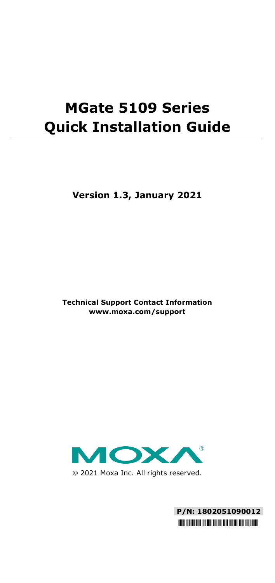# **MGate 5109 Series Quick Installation Guide**

**Version 1.3, January 2021**

**Technical Support Contact Information www.moxa.com/support**



2021 Moxa Inc. All rights reserved.

**P/N: 1802051090012** \*1802051090012\*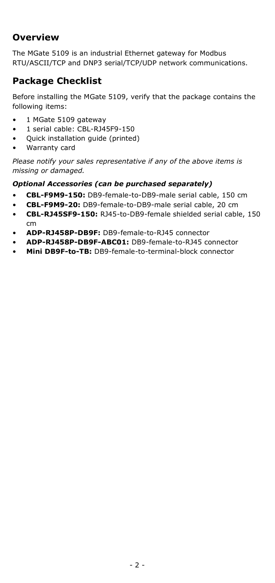# **Overview**

The MGate 5109 is an industrial Ethernet gateway for Modbus RTU/ASCII/TCP and DNP3 serial/TCP/UDP network communications.

# **Package Checklist**

Before installing the MGate 5109, verify that the package contains the following items:

- 1 MGate 5109 gateway
- 1 serial cable: CBL-RJ45F9-150
- Quick installation guide (printed)
- Warranty card

*Please notify your sales representative if any of the above items is missing or damaged.*

#### *Optional Accessories (can be purchased separately)*

- **CBL-F9M9-150:** DB9-female-to-DB9-male serial cable, 150 cm
- **CBL-F9M9-20:** DB9-female-to-DB9-male serial cable, 20 cm
- **CBL-RJ45SF9-150:** RJ45-to-DB9-female shielded serial cable, 150 cm
- **ADP-RJ458P-DB9F:** DB9-female-to-RJ45 connector
- **ADP-RJ458P-DB9F-ABC01:** DB9-female-to-RJ45 connector
- **Mini DB9F-to-TB:** DB9-female-to-terminal-block connector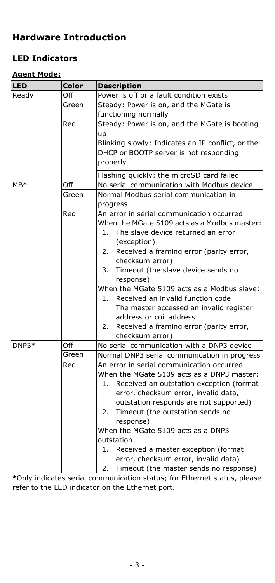# **Hardware Introduction**

## **LED Indicators**

#### **Agent Mode:**

| <b>LED</b>   | Color | <b>Description</b>                                |  |  |
|--------------|-------|---------------------------------------------------|--|--|
| Ready        | Off   | Power is off or a fault condition exists          |  |  |
|              | Green | Steady: Power is on, and the MGate is             |  |  |
|              |       | functioning normally                              |  |  |
|              | Red   | Steady: Power is on, and the MGate is booting     |  |  |
|              |       | up                                                |  |  |
|              |       | Blinking slowly: Indicates an IP conflict, or the |  |  |
|              |       | DHCP or BOOTP server is not responding            |  |  |
|              |       | properly                                          |  |  |
|              |       | Flashing quickly: the microSD card failed         |  |  |
| MB*          | Off   | No serial communication with Modbus device        |  |  |
|              | Green | Normal Modbus serial communication in             |  |  |
|              |       | progress                                          |  |  |
|              | Red   | An error in serial communication occurred         |  |  |
|              |       | When the MGate 5109 acts as a Modbus master:      |  |  |
|              |       | The slave device returned an error<br>1.          |  |  |
|              |       | (exception)                                       |  |  |
|              |       | Received a framing error (parity error,<br>2.     |  |  |
|              |       | checksum error)                                   |  |  |
|              |       | Timeout (the slave device sends no<br>3.          |  |  |
|              |       | response)                                         |  |  |
|              |       | When the MGate 5109 acts as a Modbus slave:       |  |  |
|              |       | Received an invalid function code<br>1.           |  |  |
|              |       | The master accessed an invalid register           |  |  |
|              |       | address or coil address                           |  |  |
|              |       | Received a framing error (parity error,<br>2.     |  |  |
|              |       | checksum error)                                   |  |  |
| DNP3*<br>Off |       | No serial communication with a DNP3 device        |  |  |
|              | Green | Normal DNP3 serial communication in progress      |  |  |
|              | Red   | An error in serial communication occurred         |  |  |
|              |       | When the MGate 5109 acts as a DNP3 master:        |  |  |
|              |       | Received an outstation exception (format<br>1.    |  |  |
|              |       | error, checksum error, invalid data,              |  |  |
|              |       | outstation responds are not supported)            |  |  |
|              |       | Timeout (the outstation sends no<br>2.            |  |  |
|              |       | response)                                         |  |  |
|              |       | When the MGate 5109 acts as a DNP3                |  |  |
|              |       | outstation:                                       |  |  |
|              |       | Received a master exception (format<br>1.         |  |  |
|              |       | error, checksum error, invalid data)              |  |  |
|              |       | Timeout (the master sends no response)<br>2.      |  |  |

\*Only indicates serial communication status; for Ethernet status, please refer to the LED indicator on the Ethernet port.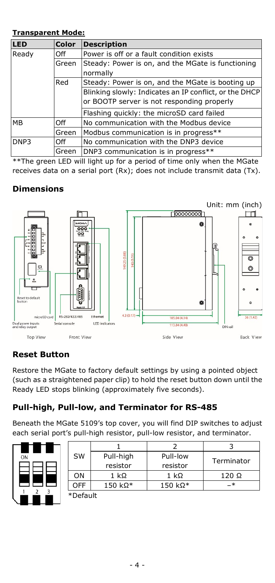#### **Transparent Mode:**

| <b>LED</b>   | <b>Color</b> | <b>Description</b>                                     |  |
|--------------|--------------|--------------------------------------------------------|--|
| Ready<br>Off |              | Power is off or a fault condition exists               |  |
|              | Green        | Steady: Power is on, and the MGate is functioning      |  |
|              |              | normally                                               |  |
|              | Red          | Steady: Power is on, and the MGate is booting up       |  |
|              |              | Blinking slowly: Indicates an IP conflict, or the DHCP |  |
|              |              | or BOOTP server is not responding properly             |  |
|              |              | Flashing quickly: the microSD card failed              |  |
| <b>MB</b>    | Off          | No communication with the Modbus device                |  |
|              | Green        | Modbus communication is in progress**                  |  |
| DNP3<br>Off  |              | No communication with the DNP3 device                  |  |
|              | Green        | DNP3 communication is in progress**                    |  |

\*\*The green LED will light up for a period of time only when the MGate receives data on a serial port (Rx); does not include transmit data (Tx).

## **Dimensions**



## **Reset Button**

Restore the MGate to factory default settings by using a pointed object (such as a straightened paper clip) to hold the reset button down until the Ready LED stops blinking (approximately five seconds).

## **Pull-high, Pull-low, and Terminator for RS-485**

Beneath the MGate 5109's top cover, you will find DIP switches to adjust each serial port's pull-high resistor, pull-low resistor, and terminator.

| ON |                |   |  |
|----|----------------|---|--|
|    |                |   |  |
|    | $\overline{2}$ | 3 |  |

| SW         | Pull-high      | Pull-low |              |
|------------|----------------|----------|--------------|
|            | resistor       | resistor | Terminator   |
| ON         | 1 kΩ           | 1 kΩ     | $120 \Omega$ |
| <b>OFF</b> | $150 k\Omega*$ | 150 kΩ*  | –*           |
| *Default   |                |          |              |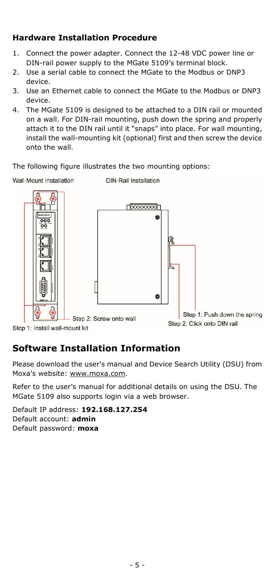#### **Hardware Installation Procedure**

- 1. Connect the power adapter. Connect the 12-48 VDC power line or DIN-rail power supply to the MGate 5109's terminal block.
- 2. Use a serial cable to connect the MGate to the Modbus or DNP3 device.
- 3. Use an Ethernet cable to connect the MGate to the Modbus or DNP3 device.
- 4. The MGate 5109 is designed to be attached to a DIN rail or mounted on a wall. For DIN-rail mounting, push down the spring and properly attach it to the DIN rail until it "snaps" into place. For wall mounting, install the wall-mounting kit (optional) first and then screw the device onto the wall.

The following figure illustrates the two mounting options:



Step 1: Install wall-mount kit

# **Software Installation Information**

Please download the user's manual and Device Search Utility (DSU) from Moxa's website[: www.moxa.com.](file://moxa.com/mhqfs/MKT/MKT_Cloud/Global_Marketing/Writer/Manuals/MGate_5109/3---QIG/www.moxa.com)

Refer to the user's manual for additional details on using the DSU. The MGate 5109 also supports login via a web browser.

Default IP address: **192.168.127.254** Default account: **admin** Default password: **moxa**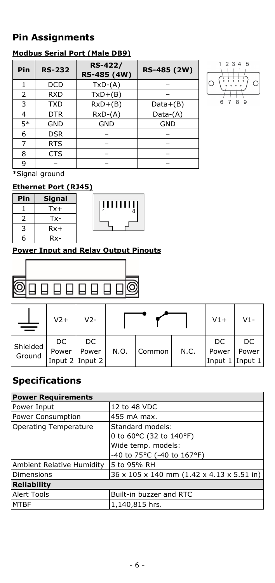# **Pin Assignments**

#### **Modbus Serial Port (Male DB9)**

| Pin  | <b>RS-232</b> | <b>RS-422/</b><br>RS-485 (4W) | RS-485 (2W) |
|------|---------------|-------------------------------|-------------|
|      | DCD           | $TxD-(A)$                     |             |
| 2    | <b>RXD</b>    | $TxD+(B)$                     |             |
| 3    | <b>TXD</b>    | $RxD+(B)$                     | $Data+(B)$  |
| 4    | <b>DTR</b>    | $RxD-(A)$                     | Data-(A)    |
| $5*$ | <b>GND</b>    | <b>GND</b>                    | <b>GND</b>  |
| 6    | <b>DSR</b>    |                               |             |
| 7    | <b>RTS</b>    |                               |             |
| 8    | <b>CTS</b>    |                               |             |
| 9    |               |                               |             |



\*Signal ground

# **Ethernet Port (RJ45)**

| Pin | Signal |  |
|-----|--------|--|
|     | Tx+    |  |
|     | Tx-    |  |
| 3   | $Rx+$  |  |
| 6   | Rx-    |  |

# 8

ШÌ

#### **Power Input and Relay Output Pinouts**



|                    | $V2+$       | $V2-$                              |      |        |      | $V1+$                           | V1-         |
|--------------------|-------------|------------------------------------|------|--------|------|---------------------------------|-------------|
| Shielded<br>Ground | DC<br>Power | DC<br>Power<br>Input $2$ Input $2$ | N.O. | Common | N.C. | DC.<br>Power<br>Input 1 Input 1 | DC<br>Power |

# **Specifications**

| <b>Power Requirements</b> |                                           |  |  |
|---------------------------|-------------------------------------------|--|--|
| Power Input               | 12 to 48 VDC                              |  |  |
| Power Consumption         | 455 mA max.                               |  |  |
| Operating Temperature     | Standard models:                          |  |  |
|                           | 0 to 60°C (32 to 140°F)                   |  |  |
|                           | Wide temp. models:                        |  |  |
|                           | -40 to 75°C (-40 to 167°F)                |  |  |
| Ambient Relative Humidity | 5 to 95% RH                               |  |  |
| Dimensions                | 36 x 105 x 140 mm (1.42 x 4.13 x 5.51 in) |  |  |
| <b>Reliability</b>        |                                           |  |  |
| Alert Tools               | Built-in buzzer and RTC                   |  |  |
| <b>MTBF</b>               | 1,140,815 hrs.                            |  |  |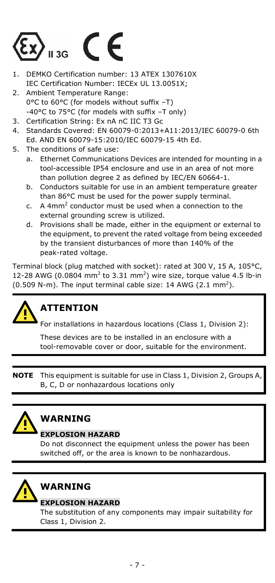

- 1. DEMKO Certification number: 13 ATEX 1307610X IEC Certification Number: IECEx UL 13.0051X;
- 2. Ambient Temperature Range: 0°C to 60°C (for models without suffix –T) -40°C to 75°C (for models with suffix –T only)
- 3. Certification String: Ex nA nC IIC T3 Gc
- 4. Standards Covered: EN 60079-0:2013+A11:2013/IEC 60079-0 6th Ed. AND EN 60079-15:2010/IEC 60079-15 4th Ed.
- 5. The conditions of safe use:
	- a. Ethernet Communications Devices are intended for mounting in a tool-accessible IP54 enclosure and use in an area of not more than pollution degree 2 as defined by IEC/EN 60664-1.
	- b. Conductors suitable for use in an ambient temperature greater than 86°C must be used for the power supply terminal.
	- c. A 4mm2 conductor must be used when a connection to the external grounding screw is utilized.
	- d. Provisions shall be made, either in the equipment or external to the equipment, to prevent the rated voltage from being exceeded by the transient disturbances of more than 140% of the peak-rated voltage.

Terminal block (plug matched with socket): rated at 300 V, 15 A, 105°C, 12-28 AWG (0.0804 mm<sup>2</sup> to 3.31 mm<sup>2</sup>) wire size, torque value 4.5 lb-in (0.509 N-m). The input terminal cable size: 14 AWG (2.1 mm<sup>2</sup>).

# **ATTENTION**

For installations in hazardous locations (Class 1, Division 2):

These devices are to be installed in an enclosure with a tool-removable cover or door, suitable for the environment.

**NOTE** This equipment is suitable for use in Class 1, Division 2, Groups A, B, C, D or nonhazardous locations only



# **WARNING**

#### **EXPLOSION HAZARD**

Do not disconnect the equipment unless the power has been switched off, or the area is known to be nonhazardous.

# **WARNING**

#### **EXPLOSION HAZARD**

The substitution of any components may impair suitability for Class 1, Division 2.